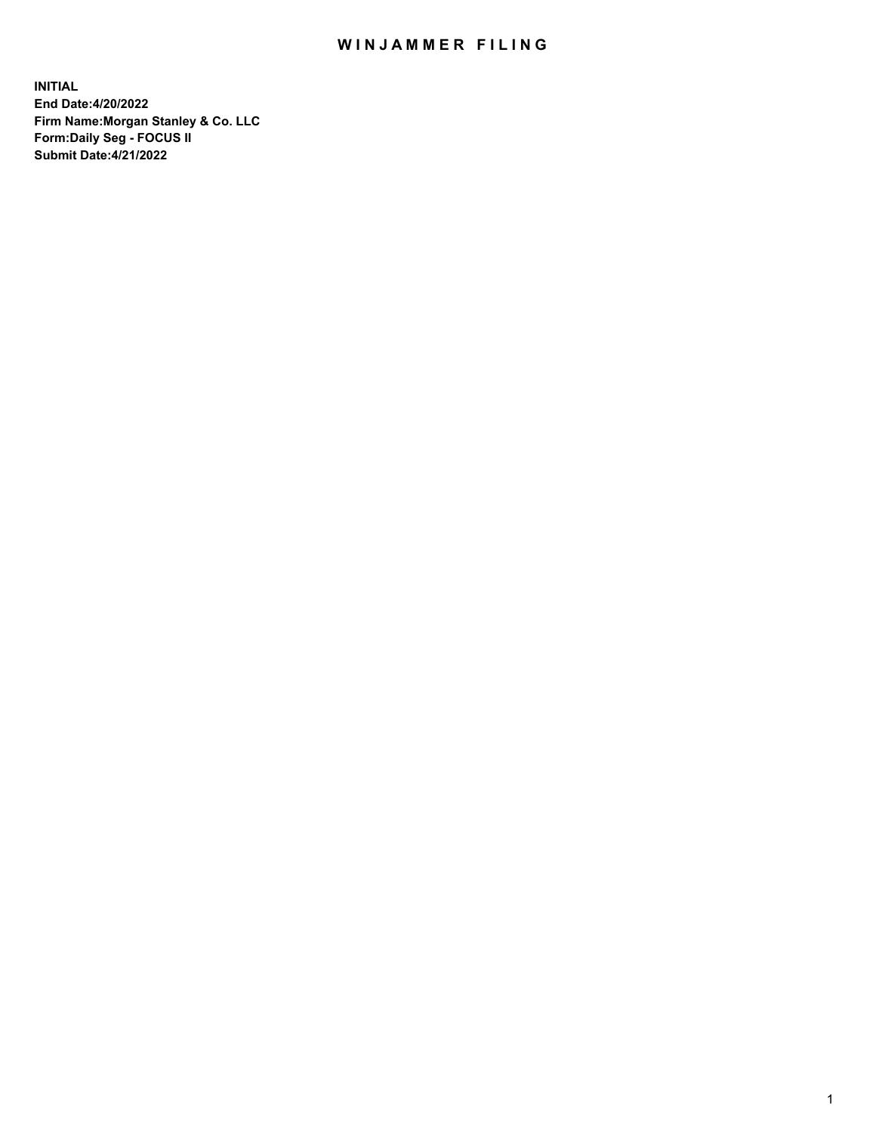## WIN JAMMER FILING

**INITIAL End Date:4/20/2022 Firm Name:Morgan Stanley & Co. LLC Form:Daily Seg - FOCUS II Submit Date:4/21/2022**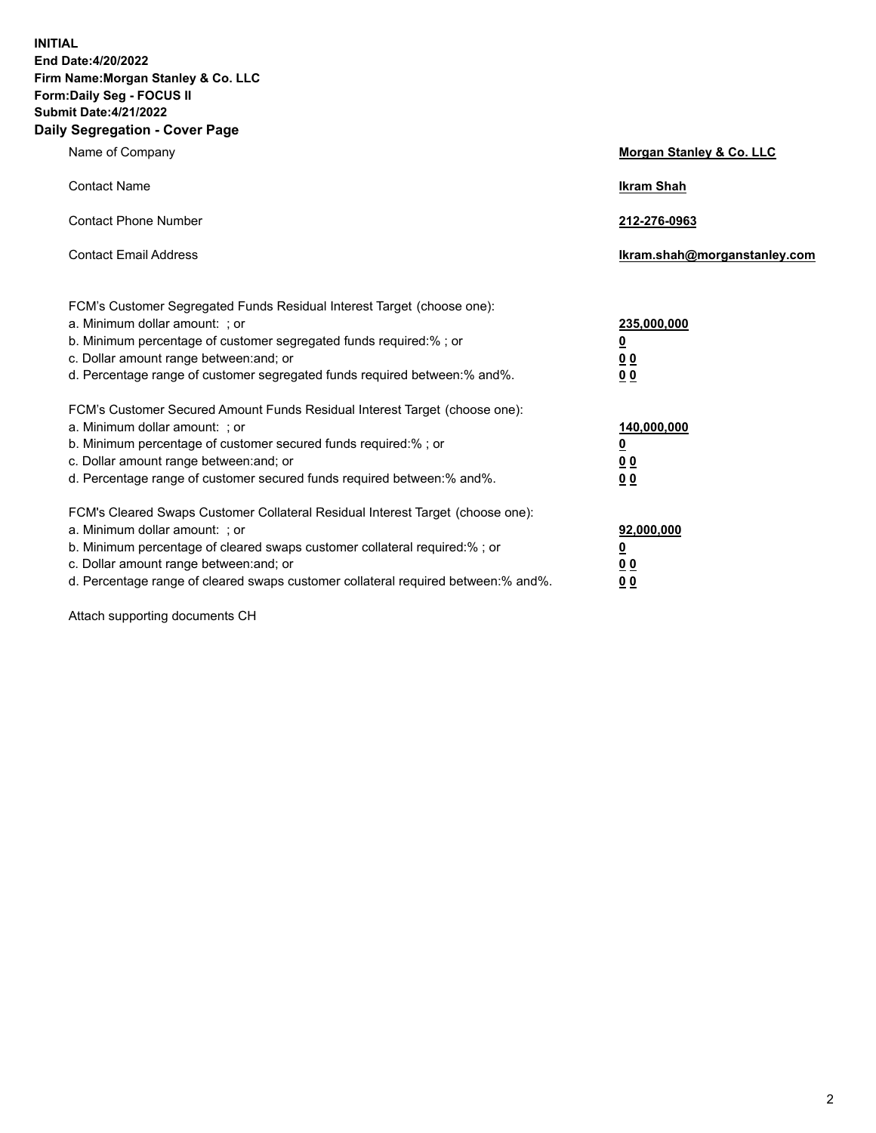**INITIAL End Date:4/20/2022 Firm Name:Morgan Stanley & Co. LLC Form:Daily Seg - FOCUS II Submit Date:4/21/2022 Daily Segregation - Cover Page**

| Name of Company                                                                                                                                                                                                                                                                                                                | Morgan Stanley & Co. LLC                                |
|--------------------------------------------------------------------------------------------------------------------------------------------------------------------------------------------------------------------------------------------------------------------------------------------------------------------------------|---------------------------------------------------------|
| <b>Contact Name</b>                                                                                                                                                                                                                                                                                                            | <b>Ikram Shah</b>                                       |
| <b>Contact Phone Number</b>                                                                                                                                                                                                                                                                                                    | 212-276-0963                                            |
| <b>Contact Email Address</b>                                                                                                                                                                                                                                                                                                   | Ikram.shah@morganstanley.com                            |
| FCM's Customer Segregated Funds Residual Interest Target (choose one):<br>a. Minimum dollar amount: ; or<br>b. Minimum percentage of customer segregated funds required:% ; or<br>c. Dollar amount range between: and; or<br>d. Percentage range of customer segregated funds required between:% and%.                         | 235,000,000<br><u>0</u><br><u>00</u><br><u>00</u>       |
| FCM's Customer Secured Amount Funds Residual Interest Target (choose one):<br>a. Minimum dollar amount: ; or<br>b. Minimum percentage of customer secured funds required:%; or<br>c. Dollar amount range between: and; or<br>d. Percentage range of customer secured funds required between:% and%.                            | 140,000,000<br><u>0</u><br><u>0 0</u><br>0 <sub>0</sub> |
| FCM's Cleared Swaps Customer Collateral Residual Interest Target (choose one):<br>a. Minimum dollar amount: ; or<br>b. Minimum percentage of cleared swaps customer collateral required:% ; or<br>c. Dollar amount range between: and; or<br>d. Percentage range of cleared swaps customer collateral required between:% and%. | 92,000,000<br><u>0</u><br><u>00</u><br>00               |

Attach supporting documents CH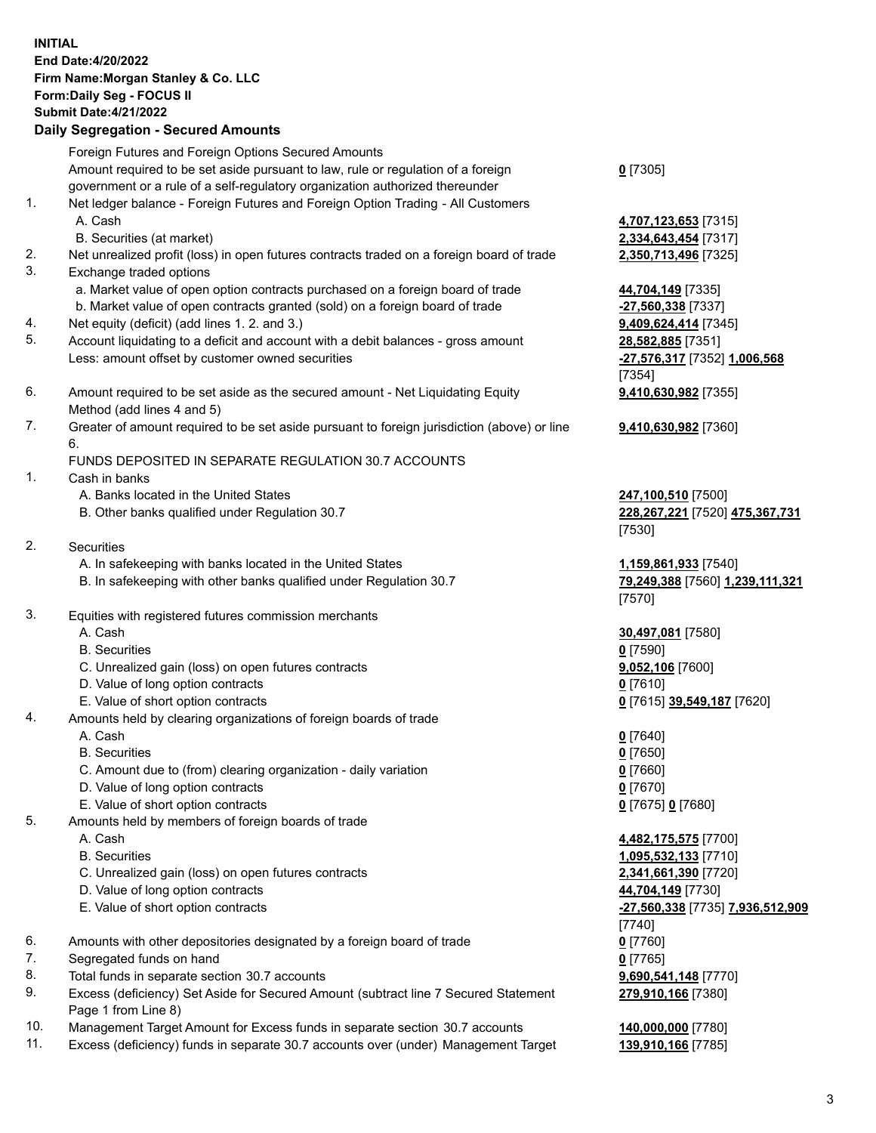|          | <b>INITIAL</b><br>End Date: 4/20/2022<br>Firm Name: Morgan Stanley & Co. LLC<br>Form: Daily Seg - FOCUS II<br><b>Submit Date: 4/21/2022</b><br><b>Daily Segregation - Secured Amounts</b> |                                                          |
|----------|-------------------------------------------------------------------------------------------------------------------------------------------------------------------------------------------|----------------------------------------------------------|
|          | Foreign Futures and Foreign Options Secured Amounts                                                                                                                                       |                                                          |
|          | Amount required to be set aside pursuant to law, rule or regulation of a foreign                                                                                                          | $0$ [7305]                                               |
| 1.       | government or a rule of a self-regulatory organization authorized thereunder<br>Net ledger balance - Foreign Futures and Foreign Option Trading - All Customers                           |                                                          |
|          | A. Cash                                                                                                                                                                                   | 4,707,123,653 [7315]                                     |
|          | B. Securities (at market)                                                                                                                                                                 | 2,334,643,454 [7317]                                     |
| 2.       | Net unrealized profit (loss) in open futures contracts traded on a foreign board of trade                                                                                                 | 2,350,713,496 [7325]                                     |
| 3.       | Exchange traded options                                                                                                                                                                   |                                                          |
|          | a. Market value of open option contracts purchased on a foreign board of trade<br>b. Market value of open contracts granted (sold) on a foreign board of trade                            | 44,704,149 [7335]<br>-27,560,338 [7337]                  |
| 4.       | Net equity (deficit) (add lines 1. 2. and 3.)                                                                                                                                             | 9,409,624,414 [7345]                                     |
| 5.       | Account liquidating to a deficit and account with a debit balances - gross amount                                                                                                         | 28,582,885 [7351]                                        |
|          | Less: amount offset by customer owned securities                                                                                                                                          | -27,576,317 [7352] 1,006,568                             |
|          |                                                                                                                                                                                           | [7354]                                                   |
| 6.       | Amount required to be set aside as the secured amount - Net Liquidating Equity<br>Method (add lines 4 and 5)                                                                              | 9,410,630,982 [7355]                                     |
| 7.       | Greater of amount required to be set aside pursuant to foreign jurisdiction (above) or line                                                                                               | 9,410,630,982 [7360]                                     |
|          | 6.                                                                                                                                                                                        |                                                          |
|          | FUNDS DEPOSITED IN SEPARATE REGULATION 30.7 ACCOUNTS                                                                                                                                      |                                                          |
| 1.       | Cash in banks                                                                                                                                                                             |                                                          |
|          | A. Banks located in the United States<br>B. Other banks qualified under Regulation 30.7                                                                                                   | 247,100,510 [7500]<br>228, 267, 221 [7520] 475, 367, 731 |
|          |                                                                                                                                                                                           | [7530]                                                   |
| 2.       | <b>Securities</b>                                                                                                                                                                         |                                                          |
|          | A. In safekeeping with banks located in the United States                                                                                                                                 | 1,159,861,933 [7540]                                     |
|          | B. In safekeeping with other banks qualified under Regulation 30.7                                                                                                                        | 79,249,388 [7560] 1,239,111,321                          |
| 3.       | Equities with registered futures commission merchants                                                                                                                                     | [7570]                                                   |
|          | A. Cash                                                                                                                                                                                   | 30,497,081 [7580]                                        |
|          | <b>B.</b> Securities                                                                                                                                                                      | $0$ [7590]                                               |
|          | C. Unrealized gain (loss) on open futures contracts                                                                                                                                       | 9,052,106 [7600]                                         |
|          | D. Value of long option contracts                                                                                                                                                         | <u>0</u> [7610]                                          |
| 4.       | E. Value of short option contracts<br>Amounts held by clearing organizations of foreign boards of trade                                                                                   | 0 [7615] 39,549,187 [7620]                               |
|          | A. Cash                                                                                                                                                                                   | $0$ [7640]                                               |
|          | <b>B.</b> Securities                                                                                                                                                                      | $0$ [7650]                                               |
|          | C. Amount due to (from) clearing organization - daily variation                                                                                                                           | $0$ [7660]                                               |
|          | D. Value of long option contracts                                                                                                                                                         | $0$ [7670]                                               |
|          | E. Value of short option contracts                                                                                                                                                        | 0 [7675] 0 [7680]                                        |
| 5.       | Amounts held by members of foreign boards of trade<br>A. Cash                                                                                                                             | 4,482,175,575 [7700]                                     |
|          | <b>B.</b> Securities                                                                                                                                                                      | 1,095,532,133 [7710]                                     |
|          | C. Unrealized gain (loss) on open futures contracts                                                                                                                                       | 2,341,661,390 [7720]                                     |
|          | D. Value of long option contracts                                                                                                                                                         | 44,704,149 [7730]                                        |
|          | E. Value of short option contracts                                                                                                                                                        | -27,560,338 [7735] 7,936,512,909                         |
|          |                                                                                                                                                                                           | [7740]                                                   |
| 6.<br>7. | Amounts with other depositories designated by a foreign board of trade<br>Segregated funds on hand                                                                                        | $0$ [7760]<br>$0$ [7765]                                 |
| 8.       | Total funds in separate section 30.7 accounts                                                                                                                                             | 9,690,541,148 [7770]                                     |
| 9.       | Excess (deficiency) Set Aside for Secured Amount (subtract line 7 Secured Statement                                                                                                       | 279,910,166 [7380]                                       |

- 9. Excess (deficiency) Set Aside for Secured Amount (subtract line 7 Secured Statement Page 1 from Line 8)
- 10. Management Target Amount for Excess funds in separate section 30.7 accounts **140,000,000** [7780]
- 11. Excess (deficiency) funds in separate 30.7 accounts over (under) Management Target **139,910,166** [7785]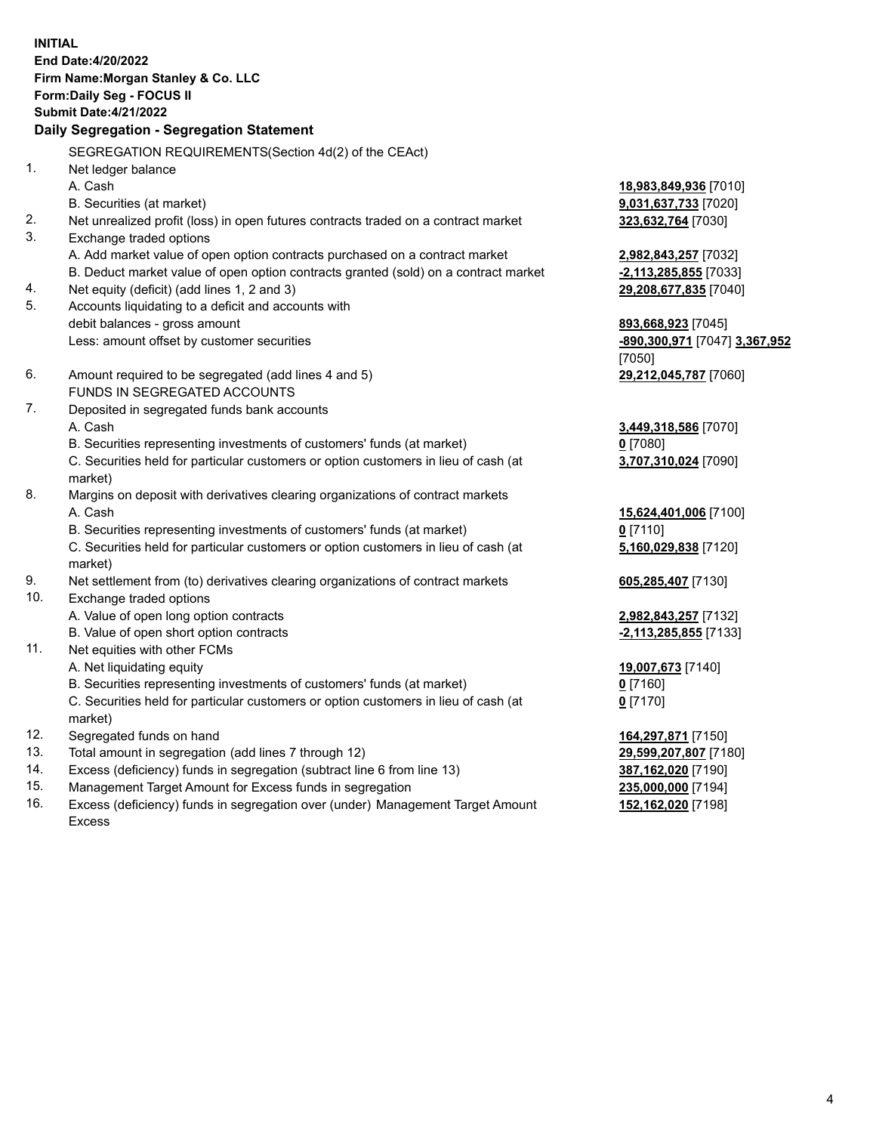**INITIAL End Date:4/20/2022 Firm Name:Morgan Stanley & Co. LLC Form:Daily Seg - FOCUS II Submit Date:4/21/2022 Daily Segregation - Segregation Statement** SEGREGATION REQUIREMENTS(Section 4d(2) of the CEAct) 1. Net ledger balance A. Cash **18,983,849,936** [7010] B. Securities (at market) **9,031,637,733** [7020] 2. Net unrealized profit (loss) in open futures contracts traded on a contract market **323,632,764** [7030] 3. Exchange traded options A. Add market value of open option contracts purchased on a contract market **2,982,843,257** [7032] B. Deduct market value of open option contracts granted (sold) on a contract market **-2,113,285,855** [7033] 4. Net equity (deficit) (add lines 1, 2 and 3) **29,208,677,835** [7040] 5. Accounts liquidating to a deficit and accounts with debit balances - gross amount **893,668,923** [7045] Less: amount offset by customer securities **-890,300,971** [7047] **3,367,952** [7050] 6. Amount required to be segregated (add lines 4 and 5) **29,212,045,787** [7060] FUNDS IN SEGREGATED ACCOUNTS 7. Deposited in segregated funds bank accounts A. Cash **3,449,318,586** [7070] B. Securities representing investments of customers' funds (at market) **0** [7080] C. Securities held for particular customers or option customers in lieu of cash (at market) **3,707,310,024** [7090] 8. Margins on deposit with derivatives clearing organizations of contract markets A. Cash **15,624,401,006** [7100] B. Securities representing investments of customers' funds (at market) **0** [7110] C. Securities held for particular customers or option customers in lieu of cash (at market) **5,160,029,838** [7120] 9. Net settlement from (to) derivatives clearing organizations of contract markets **605,285,407** [7130] 10. Exchange traded options A. Value of open long option contracts **2,982,843,257** [7132] B. Value of open short option contracts **-2,113,285,855** [7133] 11. Net equities with other FCMs A. Net liquidating equity **19,007,673** [7140] B. Securities representing investments of customers' funds (at market) **0** [7160] C. Securities held for particular customers or option customers in lieu of cash (at market) **0** [7170] 12. Segregated funds on hand **164,297,871** [7150] 13. Total amount in segregation (add lines 7 through 12) **29,599,207,807** [7180] 14. Excess (deficiency) funds in segregation (subtract line 6 from line 13) **387,162,020** [7190] 15. Management Target Amount for Excess funds in segregation **235,000,000** [7194]

16. Excess (deficiency) funds in segregation over (under) Management Target Amount Excess

**152,162,020** [7198]